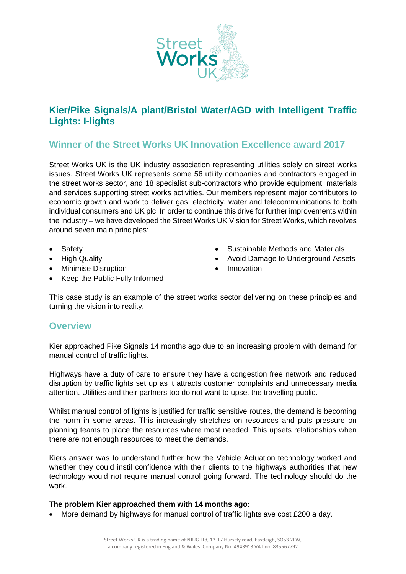

# **Kier/Pike Signals/A plant/Bristol Water/AGD with Intelligent Traffic Lights: I-lights**

# **Winner of the Street Works UK Innovation Excellence award 2017**

Street Works UK is the UK industry association representing utilities solely on street works issues. Street Works UK represents some 56 utility companies and contractors engaged in the street works sector, and 18 specialist sub-contractors who provide equipment, materials and services supporting street works activities. Our members represent major contributors to economic growth and work to deliver gas, electricity, water and telecommunications to both individual consumers and UK plc. In order to continue this drive for further improvements within the industry – we have developed the Street Works UK Vision for Street Works, which revolves around seven main principles:

- Safety
- High Quality
- Minimise Disruption
- Sustainable Methods and Materials
- Avoid Damage to Underground Assets
- Innovation

Keep the Public Fully Informed

This case study is an example of the street works sector delivering on these principles and turning the vision into reality.

# **Overview**

Kier approached Pike Signals 14 months ago due to an increasing problem with demand for manual control of traffic lights.

Highways have a duty of care to ensure they have a congestion free network and reduced disruption by traffic lights set up as it attracts customer complaints and unnecessary media attention. Utilities and their partners too do not want to upset the travelling public.

Whilst manual control of lights is justified for traffic sensitive routes, the demand is becoming the norm in some areas. This increasingly stretches on resources and puts pressure on planning teams to place the resources where most needed. This upsets relationships when there are not enough resources to meet the demands.

Kiers answer was to understand further how the Vehicle Actuation technology worked and whether they could instil confidence with their clients to the highways authorities that new technology would not require manual control going forward. The technology should do the work.

### **The problem Kier approached them with 14 months ago:**

More demand by highways for manual control of traffic lights ave cost £200 a day.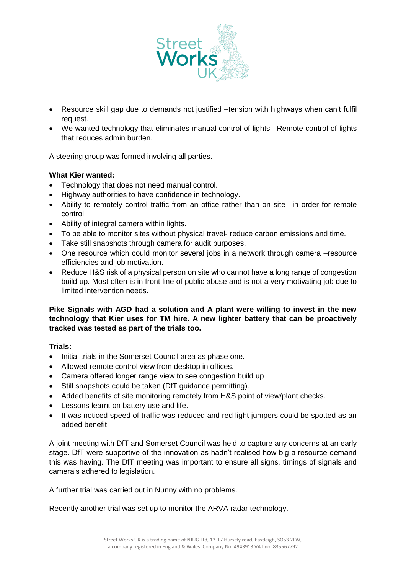

- Resource skill gap due to demands not justified –tension with highways when can't fulfil request.
- We wanted technology that eliminates manual control of lights –Remote control of lights that reduces admin burden.

A steering group was formed involving all parties.

## **What Kier wanted:**

- Technology that does not need manual control.
- Highway authorities to have confidence in technology.
- Ability to remotely control traffic from an office rather than on site –in order for remote control.
- Ability of integral camera within lights.
- To be able to monitor sites without physical travel- reduce carbon emissions and time.
- Take still snapshots through camera for audit purposes.
- One resource which could monitor several jobs in a network through camera –resource efficiencies and job motivation.
- Reduce H&S risk of a physical person on site who cannot have a long range of congestion build up. Most often is in front line of public abuse and is not a very motivating job due to limited intervention needs.

**Pike Signals with AGD had a solution and A plant were willing to invest in the new technology that Kier uses for TM hire. A new lighter battery that can be proactively tracked was tested as part of the trials too.**

### **Trials:**

- Initial trials in the Somerset Council area as phase one.
- Allowed remote control view from desktop in offices.
- Camera offered longer range view to see congestion build up
- Still snapshots could be taken (DfT quidance permitting).
- Added benefits of site monitoring remotely from H&S point of view/plant checks.
- Lessons learnt on battery use and life.
- It was noticed speed of traffic was reduced and red light jumpers could be spotted as an added benefit.

A joint meeting with DfT and Somerset Council was held to capture any concerns at an early stage. DfT were supportive of the innovation as hadn't realised how big a resource demand this was having. The DfT meeting was important to ensure all signs, timings of signals and camera's adhered to legislation.

A further trial was carried out in Nunny with no problems.

Recently another trial was set up to monitor the ARVA radar technology.